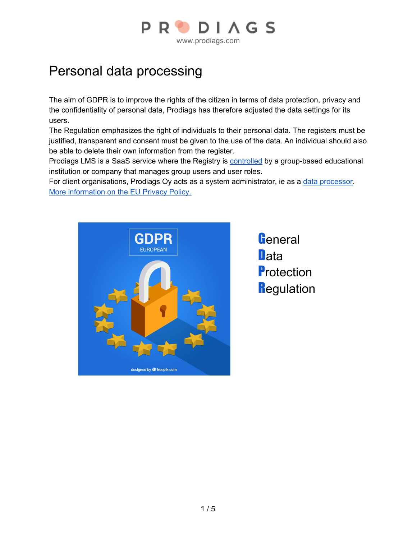

## Personal data processing

The aim of GDPR is to improve the rights of the citizen in terms of data protection, privacy and the confidentiality of personal data, Prodiags has therefore adjusted the data settings for its users.

The Regulation emphasizes the right of individuals to their personal data. The registers must be justified, transparent and consent must be given to the use of the data. An individual should also be able to delete their own information from the register.

Prodiags LMS is a SaaS service where the Registry is [controlled](https://tietosuoja.fi/en/processing-of-personal-data) by a group-based educational institution or company that manages group users and user roles.

For client organisations, Prodiags Oy acts as a system administrator, ie as a data [processor.](https://tietosuoja.fi/en/processing-of-personal-data) More [information](https://eur-lex.europa.eu/legal-content/EN/TXT/?qid=1528874672298&uri=CELEX%3A32016R0679) on the EU Privacy Policy.



**G**eneral **D**ata **Protection Regulation**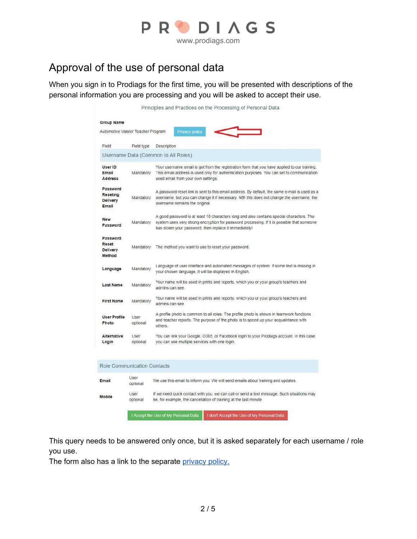

## Approval of the use of personal data

When you sign in to Prodiags for the first time, you will be presented with descriptions of the personal information you are processing and you will be asked to accept their use.

| Field                                     | Field type                         | Description                                                                                                                                                                                                                                      |  |  |  |
|-------------------------------------------|------------------------------------|--------------------------------------------------------------------------------------------------------------------------------------------------------------------------------------------------------------------------------------------------|--|--|--|
|                                           |                                    | Username Data (Common to All Roles)                                                                                                                                                                                                              |  |  |  |
| User ID<br>Email<br><b>Address</b>        | Mandatory                          | Your username email is got from the registration form that you have applied to our training.<br>This email address is used only for authentication purposes. You can set to communication<br>used email from your own settings.                  |  |  |  |
| Password<br>Reseting<br>Delivery<br>Email | Mandatory                          | A password reset link is sent to this email address. By default, the same e-mail is used as a<br>username, but you can change it if necessary. NBI this does not change the username, the<br>username remains the original.                      |  |  |  |
| <b>New</b><br>Password                    | Mandatory                          | A good password is at least 10 characters long and also contains special characters. The<br>system uses very strong encryption for password processing. If it is possible that someone<br>has stolen your password, then replace it immediately! |  |  |  |
| Password<br>Reset<br>Delivery<br>Method   | Mandatory                          | The method you want to use to reset your password.                                                                                                                                                                                               |  |  |  |
| Language                                  | Mandatory                          | Language of user interface and automated messages of system. If some text is missing in<br>your chosen language, it will be displayed in English.                                                                                                |  |  |  |
| <b>Last Name</b>                          | Mandatory                          | Your name will be used in prints and reports, which you or your group's teachers and<br>admins can see.                                                                                                                                          |  |  |  |
| <b>First Name</b>                         | Mandatory                          | Your name will be used in prints and reports, which you or your group's teachers and<br>admins can see.                                                                                                                                          |  |  |  |
| <b>User Profile</b><br>Photo              | User<br>optional                   | A profile photo is common to all roles. The profile photo is shown in teamwork functions<br>and teacher reports. The purpose of the photo is to speed up your acquaintance with<br>others.                                                       |  |  |  |
| Alternative<br>Login                      | User<br>optional                   | You can link your Google, O365, or Facebook login to your Prodiags account. In this case,<br>you can use multiple services with one login.                                                                                                       |  |  |  |
|                                           | <b>Role Communication Contacts</b> |                                                                                                                                                                                                                                                  |  |  |  |
| Email                                     | User<br>optional                   | We use this email to inform you. We will send emails about training and updates.                                                                                                                                                                 |  |  |  |
| <b>Mobile</b>                             | User<br>optional                   | If we need quick contact with you, we can call or send a text message. Such situations may<br>be, for example, the cancellation of training at the last minute.                                                                                  |  |  |  |

This query needs to be answered only once, but it is asked separately for each username / role you use.

The form also has a link to the separate [privacy](https://docs.google.com/document/d/13Hk8rh6IOnxaEtrI1Wps9xY1z_A4C7bDZEerrz-m-Wo/edit) policy.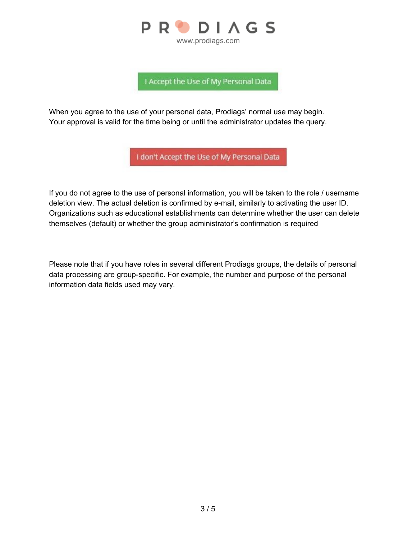

I Accept the Use of My Personal Data

When you agree to the use of your personal data, Prodiags' normal use may begin. Your approval is valid for the time being or until the administrator updates the query.

I don't Accept the Use of My Personal Data

If you do not agree to the use of personal information, you will be taken to the role / username deletion view. The actual deletion is confirmed by e-mail, similarly to activating the user ID. Organizations such as educational establishments can determine whether the user can delete themselves (default) or whether the group administrator's confirmation is required

Please note that if you have roles in several different Prodiags groups, the details of personal data processing are group-specific. For example, the number and purpose of the personal information data fields used may vary.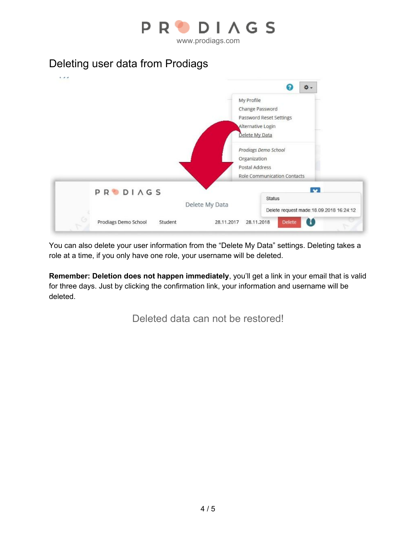

## Deleting user data from Prodiags



You can also delete your user information from the "Delete My Data" settings. Deleting takes a role at a time, if you only have one role, your username will be deleted.

**Remember: Deletion does not happen immediately**, you'll get a link in your email that is valid for three days. Just by clicking the confirmation link, your information and username will be deleted.

Deleted data can not be restored!